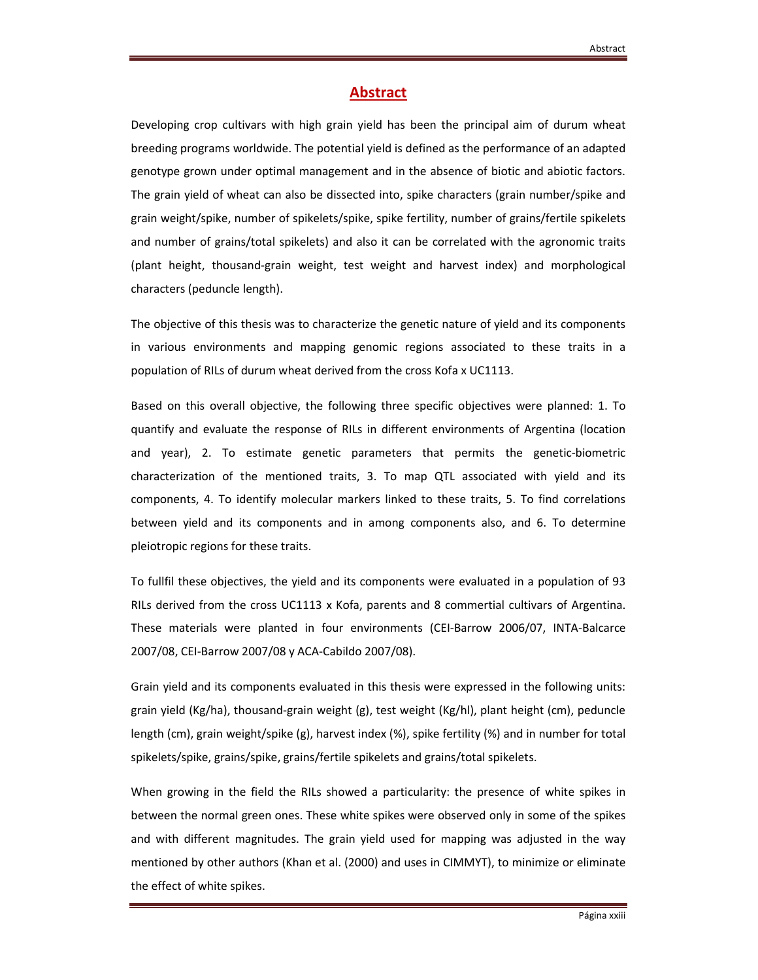## **Abstract**

Developing crop cultivars with high grain yield has been the principal aim of durum wheat breeding programs worldwide. The potential yield is defined as the performance of an adapted genotype grown under optimal management and in the absence of biotic and abiotic factors. The grain yield of wheat can also be dissected into, spike characters (grain number/spike and grain weight/spike, number of spikelets/spike, spike fertility, number of grains/fertile spikelets and number of grains/total spikelets) and also it can be correlated with the agronomic traits (plant height, thousand-grain weight, test weight and harvest index) and morphological characters (peduncle length).

The objective of this thesis was to characterize the genetic nature of yield and its components in various environments and mapping genomic regions associated to these traits in a population of RILs of durum wheat derived from the cross Kofa x UC1113.

Based on this overall objective, the following three specific objectives were planned: 1. To quantify and evaluate the response of RILs in different environments of Argentina (location and year), 2. To estimate genetic parameters that permits the genetic-biometric characterization of the mentioned traits, 3. To map QTL associated with yield and its components, 4. To identify molecular markers linked to these traits, 5. To find correlations between yield and its components and in among components also, and 6. To determine pleiotropic regions for these traits.

To fullfil these objectives, the yield and its components were evaluated in a population of 93 RILs derived from the cross UC1113 x Kofa, parents and 8 commertial cultivars of Argentina. These materials were planted in four environments (CEI-Barrow 2006/07, INTA-Balcarce 2007/08, CEI-Barrow 2007/08 y ACA-Cabildo 2007/08).

Grain yield and its components evaluated in this thesis were expressed in the following units: grain yield (Kg/ha), thousand-grain weight (g), test weight (Kg/hl), plant height (cm), peduncle length (cm), grain weight/spike (g), harvest index (%), spike fertility (%) and in number for total spikelets/spike, grains/spike, grains/fertile spikelets and grains/total spikelets.

When growing in the field the RILs showed a particularity: the presence of white spikes in between the normal green ones. These white spikes were observed only in some of the spikes and with different magnitudes. The grain yield used for mapping was adjusted in the way mentioned by other authors (Khan et al. (2000) and uses in CIMMYT), to minimize or eliminate the effect of white spikes.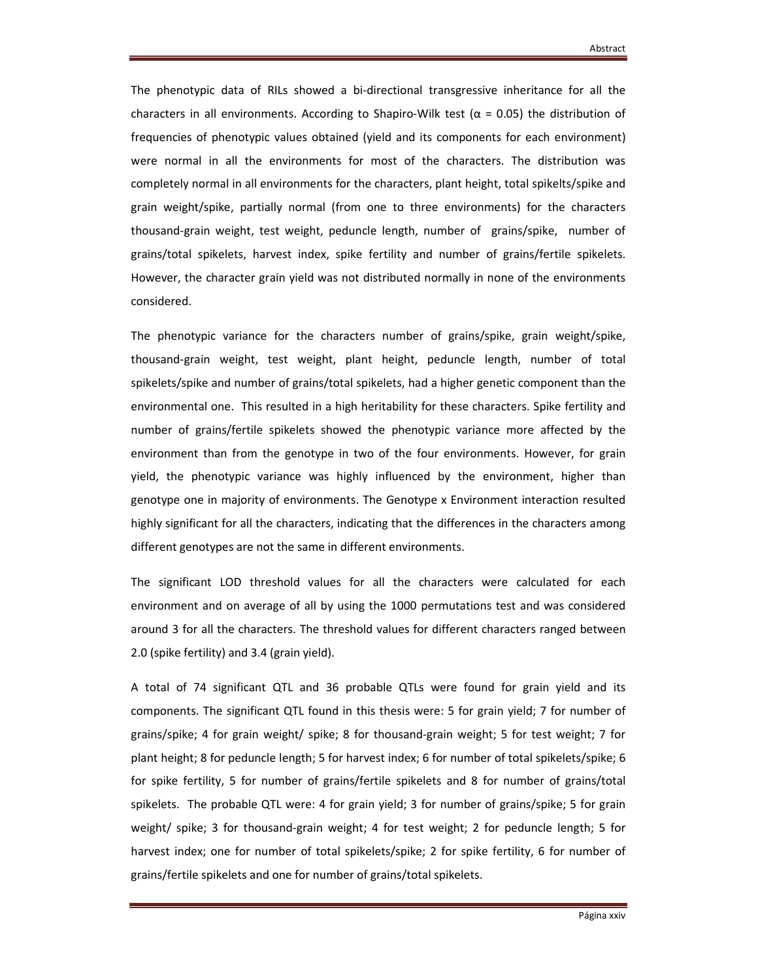The phenotypic data of RILs showed a bi-directional transgressive inheritance for all the characters in all environments. According to Shapiro-Wilk test ( $\alpha$  = 0.05) the distribution of frequencies of phenotypic values obtained (yield and its components for each environment) were normal in all the environments for most of the characters. The distribution was completely normal in all environments for the characters, plant height, total spikelts/spike and grain weight/spike, partially normal (from one to three environments) for the characters thousand-grain weight, test weight, peduncle length, number of grains/spike, number of grains/total spikelets, harvest index, spike fertility and number of grains/fertile spikelets. However, the character grain yield was not distributed normally in none of the environments considered.

The phenotypic variance for the characters number of grains/spike, grain weight/spike, thousand-grain weight, test weight, plant height, peduncle length, number of total spikelets/spike and number of grains/total spikelets, had a higher genetic component than the environmental one. This resulted in a high heritability for these characters. Spike fertility and number of grains/fertile spikelets showed the phenotypic variance more affected by the environment than from the genotype in two of the four environments. However, for grain yield, the phenotypic variance was highly influenced by the environment, higher than genotype one in majority of environments. The Genotype x Environment interaction resulted highly significant for all the characters, indicating that the differences in the characters among different genotypes are not the same in different environments.

The significant LOD threshold values for all the characters were calculated for each environment and on average of all by using the 1000 permutations test and was considered around 3 for all the characters. The threshold values for different characters ranged between 2.0 (spike fertility) and 3.4 (grain yield).

A total of 74 significant QTL and 36 probable QTLs were found for grain yield and its components. The significant QTL found in this thesis were: 5 for grain yield; 7 for number of grains/spike; 4 for grain weight/ spike; 8 for thousand-grain weight; 5 for test weight; 7 for plant height; 8 for peduncle length; 5 for harvest index; 6 for number of total spikelets/spike; 6 for spike fertility, 5 for number of grains/fertile spikelets and 8 for number of grains/total spikelets. The probable QTL were: 4 for grain yield; 3 for number of grains/spike; 5 for grain weight/ spike; 3 for thousand-grain weight; 4 for test weight; 2 for peduncle length; 5 for harvest index; one for number of total spikelets/spike; 2 for spike fertility, 6 for number of grains/fertile spikelets and one for number of grains/total spikelets.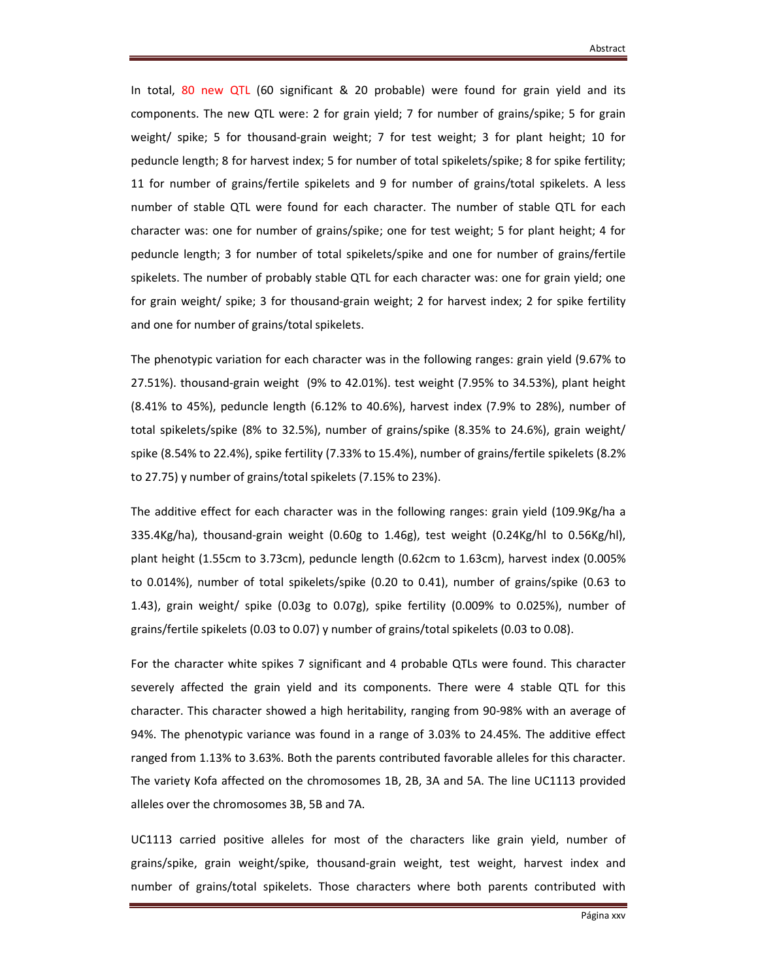In total, 80 new QTL (60 significant & 20 probable) were found for grain yield and its components. The new QTL were: 2 for grain yield; 7 for number of grains/spike; 5 for grain weight/ spike; 5 for thousand-grain weight; 7 for test weight; 3 for plant height; 10 for peduncle length; 8 for harvest index; 5 for number of total spikelets/spike; 8 for spike fertility; 11 for number of grains/fertile spikelets and 9 for number of grains/total spikelets. A less number of stable QTL were found for each character. The number of stable QTL for each character was: one for number of grains/spike; one for test weight; 5 for plant height; 4 for peduncle length; 3 for number of total spikelets/spike and one for number of grains/fertile spikelets. The number of probably stable QTL for each character was: one for grain yield; one for grain weight/ spike; 3 for thousand-grain weight; 2 for harvest index; 2 for spike fertility and one for number of grains/total spikelets.

The phenotypic variation for each character was in the following ranges: grain yield (9.67% to 27.51%). thousand-grain weight (9% to 42.01%). test weight (7.95% to 34.53%), plant height (8.41% to 45%), peduncle length (6.12% to 40.6%), harvest index (7.9% to 28%), number of total spikelets/spike (8% to 32.5%), number of grains/spike (8.35% to 24.6%), grain weight/ spike (8.54% to 22.4%), spike fertility (7.33% to 15.4%), number of grains/fertile spikelets (8.2% to 27.75) y number of grains/total spikelets (7.15% to 23%).

The additive effect for each character was in the following ranges: grain yield (109.9Kg/ha a 335.4Kg/ha), thousand-grain weight (0.60g to 1.46g), test weight (0.24Kg/hl to 0.56Kg/hl), plant height (1.55cm to 3.73cm), peduncle length (0.62cm to 1.63cm), harvest index (0.005% to 0.014%), number of total spikelets/spike (0.20 to 0.41), number of grains/spike (0.63 to 1.43), grain weight/ spike (0.03g to 0.07g), spike fertility (0.009% to 0.025%), number of grains/fertile spikelets (0.03 to 0.07) y number of grains/total spikelets (0.03 to 0.08).

For the character white spikes 7 significant and 4 probable QTLs were found. This character severely affected the grain yield and its components. There were 4 stable QTL for this character. This character showed a high heritability, ranging from 90-98% with an average of 94%. The phenotypic variance was found in a range of 3.03% to 24.45%. The additive effect ranged from 1.13% to 3.63%. Both the parents contributed favorable alleles for this character. The variety Kofa affected on the chromosomes 1B, 2B, 3A and 5A. The line UC1113 provided alleles over the chromosomes 3B, 5B and 7A.

UC1113 carried positive alleles for most of the characters like grain yield, number of grains/spike, grain weight/spike, thousand-grain weight, test weight, harvest index and number of grains/total spikelets. Those characters where both parents contributed with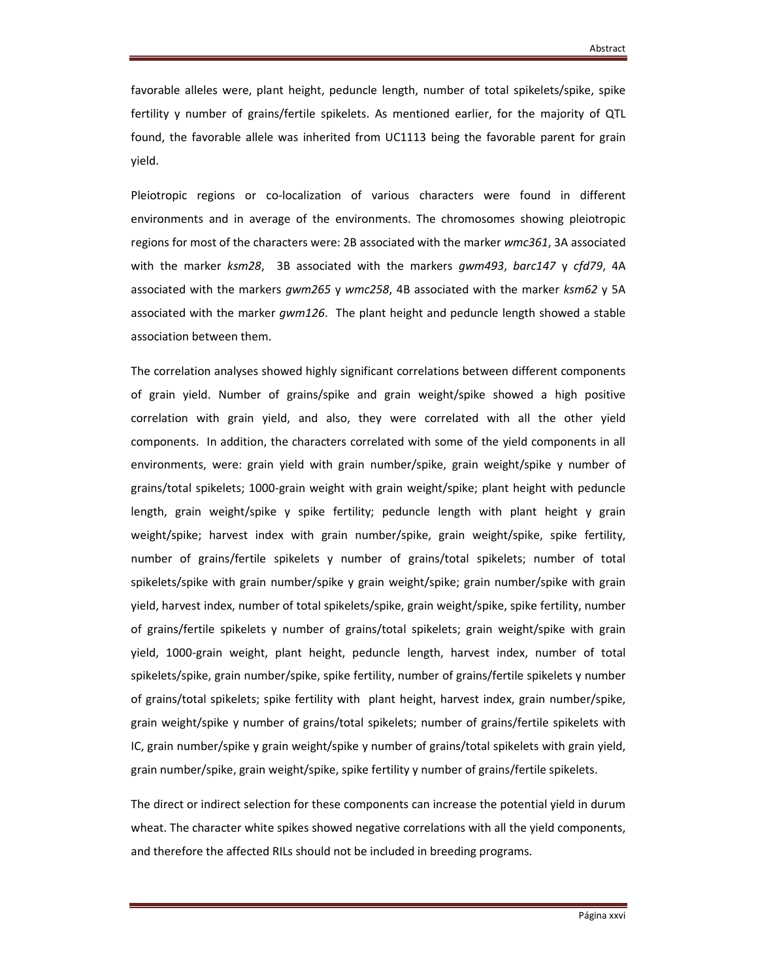favorable alleles were, plant height, peduncle length, number of total spikelets/spike, spike fertility y number of grains/fertile spikelets. As mentioned earlier, for the majority of QTL found, the favorable allele was inherited from UC1113 being the favorable parent for grain yield.

Pleiotropic regions or co-localization of various characters were found in different environments and in average of the environments. The chromosomes showing pleiotropic regions for most of the characters were: 2B associated with the marker *wmc361*, 3A associated with the marker *ksm28*, 3B associated with the markers *gwm493*, *barc147* y *cfd79*, 4A associated with the markers *gwm265* y *wmc258*, 4B associated with the marker *ksm62* y 5A associated with the marker *gwm126*. The plant height and peduncle length showed a stable association between them.

The correlation analyses showed highly significant correlations between different components of grain yield. Number of grains/spike and grain weight/spike showed a high positive correlation with grain yield, and also, they were correlated with all the other yield components. In addition, the characters correlated with some of the yield components in all environments, were: grain yield with grain number/spike, grain weight/spike y number of grains/total spikelets; 1000-grain weight with grain weight/spike; plant height with peduncle length, grain weight/spike y spike fertility; peduncle length with plant height y grain weight/spike; harvest index with grain number/spike, grain weight/spike, spike fertility, number of grains/fertile spikelets y number of grains/total spikelets; number of total spikelets/spike with grain number/spike y grain weight/spike; grain number/spike with grain yield, harvest index, number of total spikelets/spike, grain weight/spike, spike fertility, number of grains/fertile spikelets y number of grains/total spikelets; grain weight/spike with grain yield, 1000-grain weight, plant height, peduncle length, harvest index, number of total spikelets/spike, grain number/spike, spike fertility, number of grains/fertile spikelets y number of grains/total spikelets; spike fertility with plant height, harvest index, grain number/spike, grain weight/spike y number of grains/total spikelets; number of grains/fertile spikelets with IC, grain number/spike y grain weight/spike y number of grains/total spikelets with grain yield, grain number/spike, grain weight/spike, spike fertility y number of grains/fertile spikelets.

The direct or indirect selection for these components can increase the potential yield in durum wheat. The character white spikes showed negative correlations with all the yield components, and therefore the affected RILs should not be included in breeding programs.